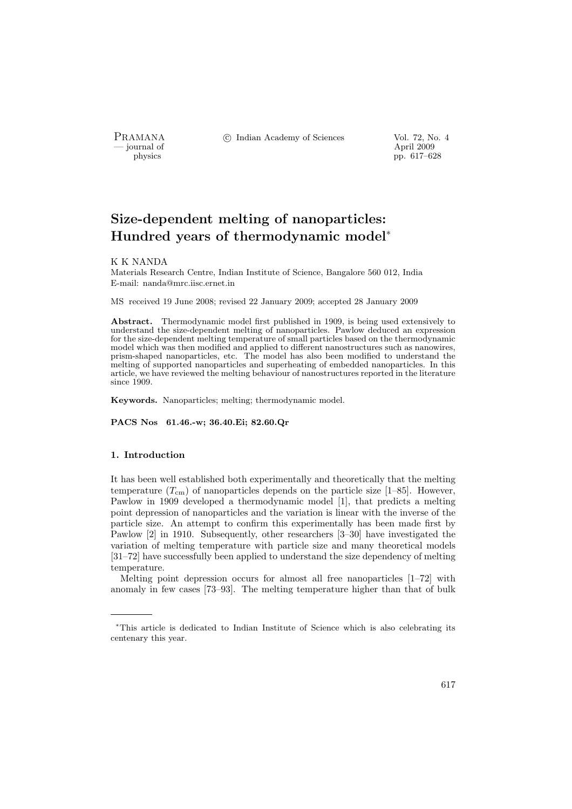- journal of<br>physics

PRAMANA <sup>©</sup>© Indian Academy of Sciences Vol. 72, No. 4

pp. 617–628

# Size-dependent melting of nanoparticles: Hundred years of thermodynamic model<sup>∗</sup>

## K K NANDA

Materials Research Centre, Indian Institute of Science, Bangalore 560 012, India E-mail: nanda@mrc.iisc.ernet.in

MS received 19 June 2008; revised 22 January 2009; accepted 28 January 2009

Abstract. Thermodynamic model first published in 1909, is being used extensively to understand the size-dependent melting of nanoparticles. Pawlow deduced an expression for the size-dependent melting temperature of small particles based on the thermodynamic model which was then modified and applied to different nanostructures such as nanowires, prism-shaped nanoparticles, etc. The model has also been modified to understand the melting of supported nanoparticles and superheating of embedded nanoparticles. In this article, we have reviewed the melting behaviour of nanostructures reported in the literature since 1909.

Keywords. Nanoparticles; melting; thermodynamic model.

PACS Nos 61.46.-w; 36.40.Ei; 82.60.Qr

#### 1. Introduction

It has been well established both experimentally and theoretically that the melting temperature  $(T_{cm})$  of nanoparticles depends on the particle size [1–85]. However, Pawlow in 1909 developed a thermodynamic model [1], that predicts a melting point depression of nanoparticles and the variation is linear with the inverse of the particle size. An attempt to confirm this experimentally has been made first by Pawlow [2] in 1910. Subsequently, other researchers [3–30] have investigated the variation of melting temperature with particle size and many theoretical models [31–72] have successfully been applied to understand the size dependency of melting temperature.

Melting point depression occurs for almost all free nanoparticles [1–72] with anomaly in few cases [73–93]. The melting temperature higher than that of bulk

<sup>∗</sup>This article is dedicated to Indian Institute of Science which is also celebrating its centenary this year.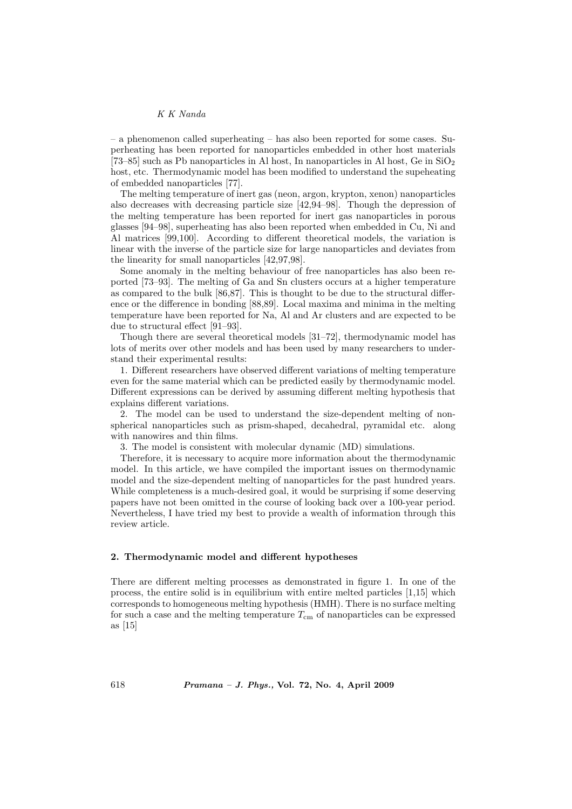– a phenomenon called superheating – has also been reported for some cases. Superheating has been reported for nanoparticles embedded in other host materials [73–85] such as Pb nanoparticles in Al host, In nanoparticles in Al host, Ge in  $SiO<sub>2</sub>$ host, etc. Thermodynamic model has been modified to understand the supeheating of embedded nanoparticles [77].

The melting temperature of inert gas (neon, argon, krypton, xenon) nanoparticles also decreases with decreasing particle size [42,94–98]. Though the depression of the melting temperature has been reported for inert gas nanoparticles in porous glasses [94–98], superheating has also been reported when embedded in Cu, Ni and Al matrices [99,100]. According to different theoretical models, the variation is linear with the inverse of the particle size for large nanoparticles and deviates from the linearity for small nanoparticles [42,97,98].

Some anomaly in the melting behaviour of free nanoparticles has also been reported [73–93]. The melting of Ga and Sn clusters occurs at a higher temperature as compared to the bulk [86,87]. This is thought to be due to the structural difference or the difference in bonding [88,89]. Local maxima and minima in the melting temperature have been reported for Na, Al and Ar clusters and are expected to be due to structural effect [91–93].

Though there are several theoretical models [31–72], thermodynamic model has lots of merits over other models and has been used by many researchers to understand their experimental results:

1. Different researchers have observed different variations of melting temperature even for the same material which can be predicted easily by thermodynamic model. Different expressions can be derived by assuming different melting hypothesis that explains different variations.

2. The model can be used to understand the size-dependent melting of nonspherical nanoparticles such as prism-shaped, decahedral, pyramidal etc. along with nanowires and thin films.

3. The model is consistent with molecular dynamic (MD) simulations.

Therefore, it is necessary to acquire more information about the thermodynamic model. In this article, we have compiled the important issues on thermodynamic model and the size-dependent melting of nanoparticles for the past hundred years. While completeness is a much-desired goal, it would be surprising if some deserving papers have not been omitted in the course of looking back over a 100-year period. Nevertheless, I have tried my best to provide a wealth of information through this review article.

## 2. Thermodynamic model and different hypotheses

There are different melting processes as demonstrated in figure 1. In one of the process, the entire solid is in equilibrium with entire melted particles [1,15] which corresponds to homogeneous melting hypothesis (HMH). There is no surface melting for such a case and the melting temperature  $T_{\rm cm}$  of nanoparticles can be expressed as [15]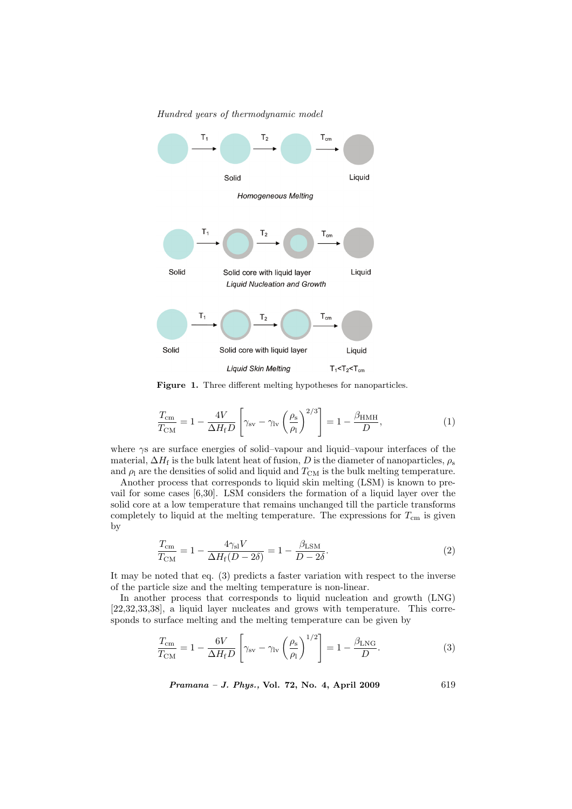

Hundred years of thermodynamic model

Figure 1. Three different melting hypotheses for nanoparticles.

$$
\frac{T_{\text{cm}}}{T_{\text{CM}}} = 1 - \frac{4V}{\Delta H_{\text{f}} D} \left[ \gamma_{\text{sv}} - \gamma_{\text{lv}} \left( \frac{\rho_{\text{s}}}{\rho_{\text{l}}} \right)^{2/3} \right] = 1 - \frac{\beta_{\text{HMH}}}{D},\tag{1}
$$

where γs are surface energies of solid–vapour and liquid–vapour interfaces of the material,  $\Delta H_f$  is the bulk latent heat of fusion, D is the diameter of nanoparticles,  $\rho_s$ and  $\rho_1$  are the densities of solid and liquid and  $T_{\text{CM}}$  is the bulk melting temperature.

Another process that corresponds to liquid skin melting (LSM) is known to prevail for some cases [6,30]. LSM considers the formation of a liquid layer over the solid core at a low temperature that remains unchanged till the particle transforms completely to liquid at the melting temperature. The expressions for  $T_{\rm cm}$  is given by

$$
\frac{T_{\text{cm}}}{T_{\text{CM}}} = 1 - \frac{4\gamma_{\text{sl}}V}{\Delta H_{\text{f}}(D - 2\delta)} = 1 - \frac{\beta_{\text{LSM}}}{D - 2\delta}.
$$
\n(2)

It may be noted that eq. (3) predicts a faster variation with respect to the inverse of the particle size and the melting temperature is non-linear.

In another process that corresponds to liquid nucleation and growth (LNG) [22,32,33,38], a liquid layer nucleates and grows with temperature. This corresponds to surface melting and the melting temperature can be given by

$$
\frac{T_{\rm cm}}{T_{\rm CM}} = 1 - \frac{6V}{\Delta H_{\rm f} D} \left[ \gamma_{\rm sv} - \gamma_{\rm lv} \left( \frac{\rho_{\rm s}}{\rho_{\rm l}} \right)^{1/2} \right] = 1 - \frac{\beta_{\rm LNG}}{D}.
$$
 (3)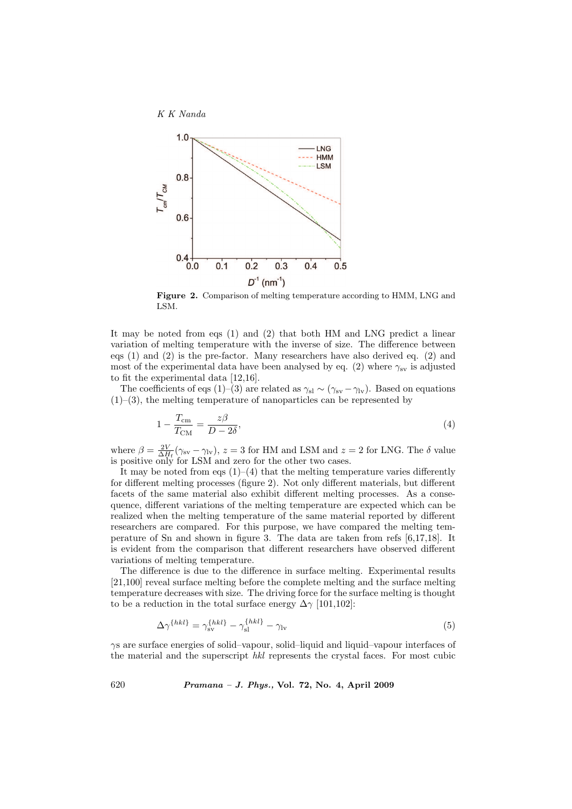



Figure 2. Comparison of melting temperature according to HMM, LNG and LSM.

It may be noted from eqs (1) and (2) that both HM and LNG predict a linear variation of melting temperature with the inverse of size. The difference between eqs (1) and (2) is the pre-factor. Many researchers have also derived eq. (2) and most of the experimental data have been analysed by eq. (2) where  $\gamma_{sv}$  is adjusted to fit the experimental data [12,16].

The coefficients of eqs (1)–(3) are related as  $\gamma_{sl} \sim (\gamma_{sv} - \gamma_{lv})$ . Based on equations  $(1)$ –(3), the melting temperature of nanoparticles can be represented by

$$
1 - \frac{T_{\text{cm}}}{T_{\text{CM}}} = \frac{z\beta}{D - 2\delta},\tag{4}
$$

where  $\beta = \frac{2V}{\Delta H_f} (\gamma_{sv} - \gamma_{lv}), z = 3$  for HM and LSM and  $z = 2$  for LNG. The  $\delta$  value is positive only for LSM and zero for the other two cases.

It may be noted from eqs  $(1)$ – $(4)$  that the melting temperature varies differently for different melting processes (figure 2). Not only different materials, but different facets of the same material also exhibit different melting processes. As a consequence, different variations of the melting temperature are expected which can be realized when the melting temperature of the same material reported by different researchers are compared. For this purpose, we have compared the melting temperature of Sn and shown in figure 3. The data are taken from refs [6,17,18]. It is evident from the comparison that different researchers have observed different variations of melting temperature.

The difference is due to the difference in surface melting. Experimental results [21,100] reveal surface melting before the complete melting and the surface melting temperature decreases with size. The driving force for the surface melting is thought to be a reduction in the total surface energy  $\Delta \gamma$  [101,102]:

$$
\Delta \gamma^{\{hkl\}} = \gamma_{\rm sv}^{\{hkl\}} - \gamma_{\rm sl}^{\{hkl\}} - \gamma_{\rm lv} \tag{5}
$$

γs are surface energies of solid–vapour, solid–liquid and liquid–vapour interfaces of the material and the superscript hkl represents the crystal faces. For most cubic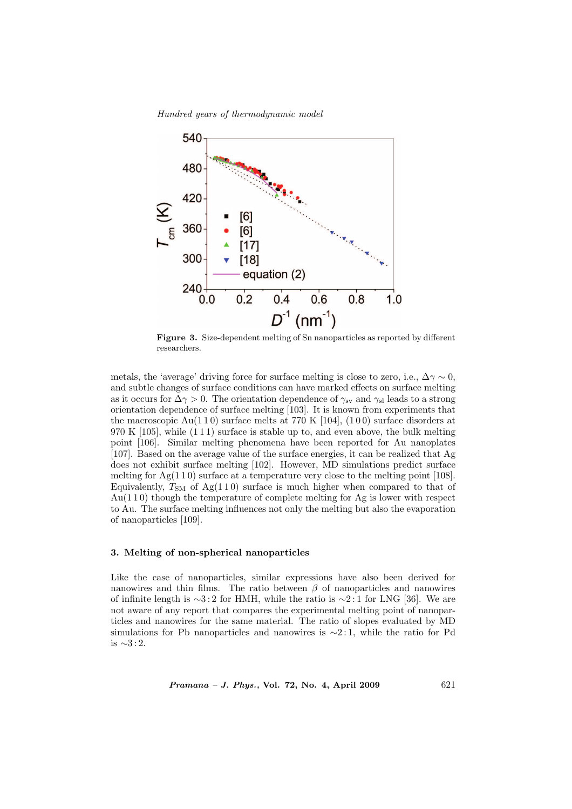Hundred years of thermodynamic model



Figure 3. Size-dependent melting of Sn nanoparticles as reported by different researchers.

metals, the 'average' driving force for surface melting is close to zero, i.e.,  $\Delta \gamma \sim 0$ , and subtle changes of surface conditions can have marked effects on surface melting as it occurs for  $\Delta \gamma > 0$ . The orientation dependence of  $\gamma_{\rm sv}$  and  $\gamma_{\rm sl}$  leads to a strong orientation dependence of surface melting [103]. It is known from experiments that the macroscopic  $Au(110)$  surface melts at 770 K [104], (100) surface disorders at 970 K [105], while (1 1 1) surface is stable up to, and even above, the bulk melting point [106]. Similar melting phenomena have been reported for Au nanoplates [107]. Based on the average value of the surface energies, it can be realized that Ag does not exhibit surface melting [102]. However, MD simulations predict surface melting for  $Ag(110)$  surface at a temperature very close to the melting point [108]. Equivalently,  $T_{SM}$  of Ag(110) surface is much higher when compared to that of Au(1 1 0) though the temperature of complete melting for Ag is lower with respect to Au. The surface melting influences not only the melting but also the evaporation of nanoparticles [109].

## 3. Melting of non-spherical nanoparticles

Like the case of nanoparticles, similar expressions have also been derived for nanowires and thin films. The ratio between  $\beta$  of nanoparticles and nanowires of infinite length is ∼3:2 for HMH, while the ratio is ∼2:1 for LNG [36]. We are not aware of any report that compares the experimental melting point of nanoparticles and nanowires for the same material. The ratio of slopes evaluated by MD simulations for Pb nanoparticles and nanowires is  $\sim$ 2:1, while the ratio for Pd is ∼3 : 2.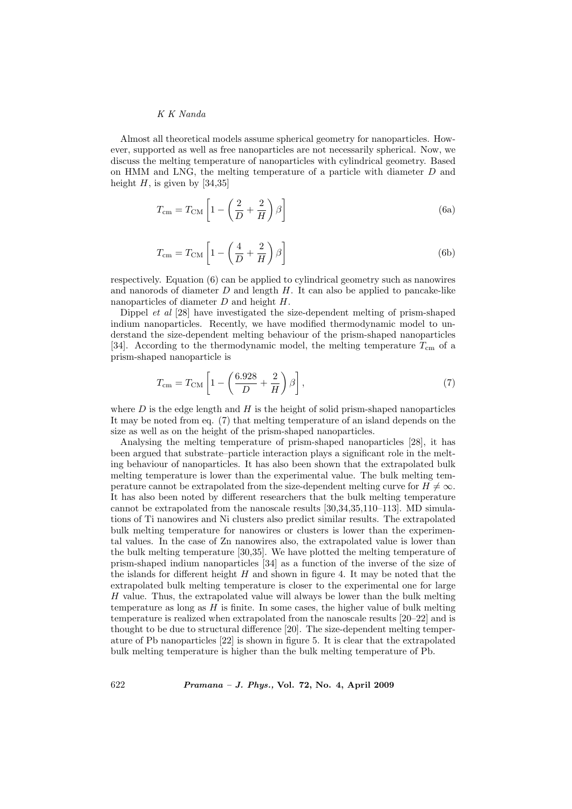Almost all theoretical models assume spherical geometry for nanoparticles. However, supported as well as free nanoparticles are not necessarily spherical. Now, we discuss the melting temperature of nanoparticles with cylindrical geometry. Based on HMM and LNG, the melting temperature of a particle with diameter D and height  $H$ , is given by [34,35]

$$
T_{\rm cm} = T_{\rm CM} \left[ 1 - \left( \frac{2}{D} + \frac{2}{H} \right) \beta \right]
$$
 (6a)

$$
T_{\rm cm} = T_{\rm CM} \left[ 1 - \left( \frac{4}{D} + \frac{2}{H} \right) \beta \right]
$$
 (6b)

respectively. Equation (6) can be applied to cylindrical geometry such as nanowires and nanorods of diameter  $D$  and length  $H$ . It can also be applied to pancake-like nanoparticles of diameter D and height H.

Dippel et al [28] have investigated the size-dependent melting of prism-shaped indium nanoparticles. Recently, we have modified thermodynamic model to understand the size-dependent melting behaviour of the prism-shaped nanoparticles [34]. According to the thermodynamic model, the melting temperature  $T_{\rm cm}$  of a prism-shaped nanoparticle is

$$
T_{\rm cm} = T_{\rm CM} \left[ 1 - \left( \frac{6.928}{D} + \frac{2}{H} \right) \beta \right],\tag{7}
$$

where  $D$  is the edge length and  $H$  is the height of solid prism-shaped nanoparticles It may be noted from eq. (7) that melting temperature of an island depends on the size as well as on the height of the prism-shaped nanoparticles.

Analysing the melting temperature of prism-shaped nanoparticles [28], it has been argued that substrate–particle interaction plays a significant role in the melting behaviour of nanoparticles. It has also been shown that the extrapolated bulk melting temperature is lower than the experimental value. The bulk melting temperature cannot be extrapolated from the size-dependent melting curve for  $H \neq \infty$ . It has also been noted by different researchers that the bulk melting temperature cannot be extrapolated from the nanoscale results [30,34,35,110–113]. MD simulations of Ti nanowires and Ni clusters also predict similar results. The extrapolated bulk melting temperature for nanowires or clusters is lower than the experimental values. In the case of Zn nanowires also, the extrapolated value is lower than the bulk melting temperature [30,35]. We have plotted the melting temperature of prism-shaped indium nanoparticles [34] as a function of the inverse of the size of the islands for different height  $H$  and shown in figure 4. It may be noted that the extrapolated bulk melting temperature is closer to the experimental one for large H value. Thus, the extrapolated value will always be lower than the bulk melting temperature as long as  $H$  is finite. In some cases, the higher value of bulk melting temperature is realized when extrapolated from the nanoscale results [20–22] and is thought to be due to structural difference [20]. The size-dependent melting temperature of Pb nanoparticles [22] is shown in figure 5. It is clear that the extrapolated bulk melting temperature is higher than the bulk melting temperature of Pb.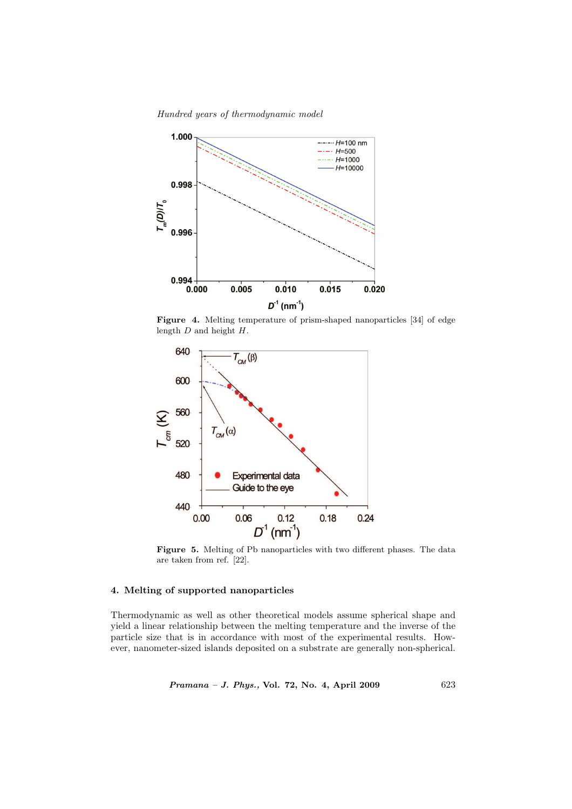Hundred years of thermodynamic model



Figure 4. Melting temperature of prism-shaped nanoparticles [34] of edge length D and height H.



Figure 5. Melting of Pb nanoparticles with two different phases. The data are taken from ref. [22].

#### 4. Melting of supported nanoparticles

Thermodynamic as well as other theoretical models assume spherical shape and yield a linear relationship between the melting temperature and the inverse of the particle size that is in accordance with most of the experimental results. However, nanometer-sized islands deposited on a substrate are generally non-spherical.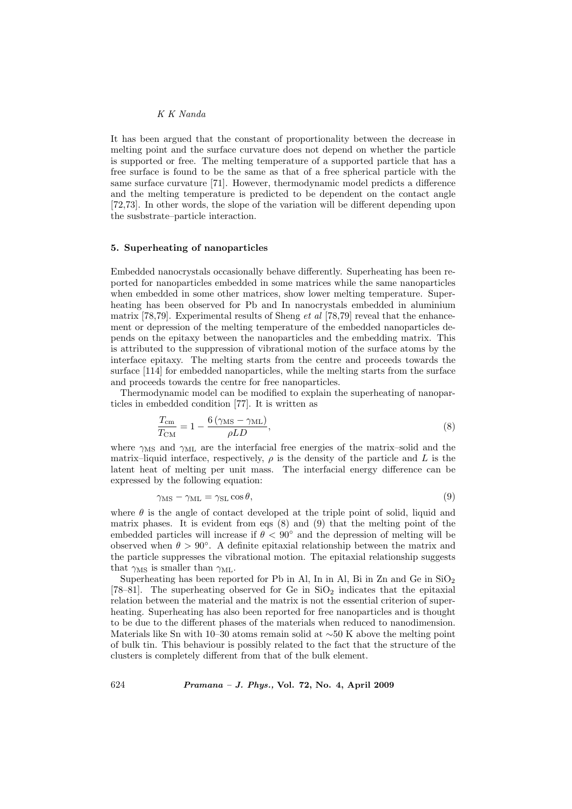It has been argued that the constant of proportionality between the decrease in melting point and the surface curvature does not depend on whether the particle is supported or free. The melting temperature of a supported particle that has a free surface is found to be the same as that of a free spherical particle with the same surface curvature [71]. However, thermodynamic model predicts a difference and the melting temperature is predicted to be dependent on the contact angle [72,73]. In other words, the slope of the variation will be different depending upon the susbstrate–particle interaction.

#### 5. Superheating of nanoparticles

Embedded nanocrystals occasionally behave differently. Superheating has been reported for nanoparticles embedded in some matrices while the same nanoparticles when embedded in some other matrices, show lower melting temperature. Superheating has been observed for Pb and In nanocrystals embedded in aluminium matrix [78,79]. Experimental results of Sheng *et al* [78,79] reveal that the enhancement or depression of the melting temperature of the embedded nanoparticles depends on the epitaxy between the nanoparticles and the embedding matrix. This is attributed to the suppression of vibrational motion of the surface atoms by the interface epitaxy. The melting starts from the centre and proceeds towards the surface [114] for embedded nanoparticles, while the melting starts from the surface and proceeds towards the centre for free nanoparticles.

Thermodynamic model can be modified to explain the superheating of nanoparticles in embedded condition [77]. It is written as

$$
\frac{T_{\text{cm}}}{T_{\text{CM}}} = 1 - \frac{6\left(\gamma_{\text{MS}} - \gamma_{\text{ML}}\right)}{\rho L D},\tag{8}
$$

where  $\gamma_{\text{MS}}$  and  $\gamma_{\text{ML}}$  are the interfacial free energies of the matrix–solid and the matrix–liquid interface, respectively,  $\rho$  is the density of the particle and L is the latent heat of melting per unit mass. The interfacial energy difference can be expressed by the following equation:

$$
\gamma_{\rm MS} - \gamma_{\rm ML} = \gamma_{\rm SL} \cos \theta,\tag{9}
$$

where  $\theta$  is the angle of contact developed at the triple point of solid, liquid and matrix phases. It is evident from eqs (8) and (9) that the melting point of the embedded particles will increase if  $\theta < 90^{\circ}$  and the depression of melting will be observed when  $\theta > 90^{\circ}$ . A definite epitaxial relationship between the matrix and the particle suppresses the vibrational motion. The epitaxial relationship suggests that  $\gamma_{\text{MS}}$  is smaller than  $\gamma_{\text{ML}}$ .

Superheating has been reported for Pb in Al, In in Al, Bi in Zn and Ge in  $SiO<sub>2</sub>$ [78–81]. The superheating observed for Ge in  $SiO<sub>2</sub>$  indicates that the epitaxial relation between the material and the matrix is not the essential criterion of superheating. Superheating has also been reported for free nanoparticles and is thought to be due to the different phases of the materials when reduced to nanodimension. Materials like Sn with 10–30 atoms remain solid at  $\sim$ 50 K above the melting point of bulk tin. This behaviour is possibly related to the fact that the structure of the clusters is completely different from that of the bulk element.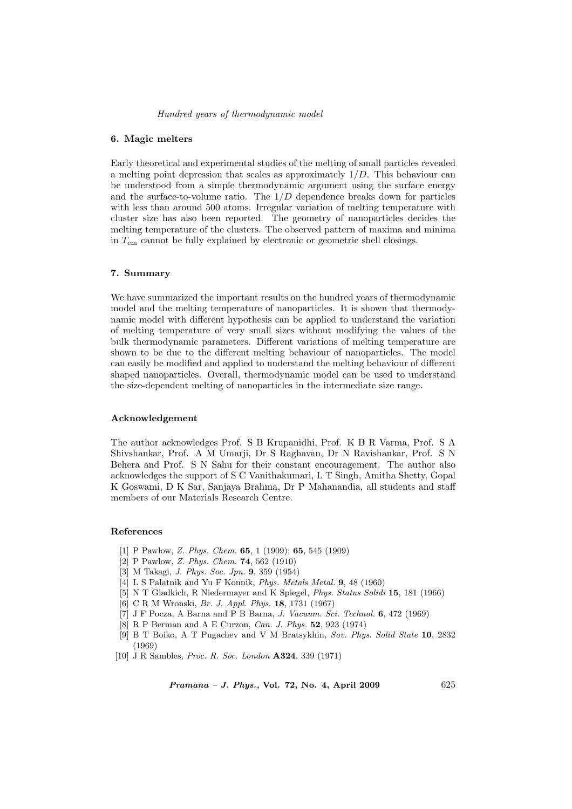#### Hundred years of thermodynamic model

#### 6. Magic melters

Early theoretical and experimental studies of the melting of small particles revealed a melting point depression that scales as approximately  $1/D$ . This behaviour can be understood from a simple thermodynamic argument using the surface energy and the surface-to-volume ratio. The  $1/D$  dependence breaks down for particles with less than around 500 atoms. Irregular variation of melting temperature with cluster size has also been reported. The geometry of nanoparticles decides the melting temperature of the clusters. The observed pattern of maxima and minima in  $T_{\rm cm}$  cannot be fully explained by electronic or geometric shell closings.

## 7. Summary

We have summarized the important results on the hundred years of thermodynamic model and the melting temperature of nanoparticles. It is shown that thermodynamic model with different hypothesis can be applied to understand the variation of melting temperature of very small sizes without modifying the values of the bulk thermodynamic parameters. Different variations of melting temperature are shown to be due to the different melting behaviour of nanoparticles. The model can easily be modified and applied to understand the melting behaviour of different shaped nanoparticles. Overall, thermodynamic model can be used to understand the size-dependent melting of nanoparticles in the intermediate size range.

#### Acknowledgement

The author acknowledges Prof. S B Krupanidhi, Prof. K B R Varma, Prof. S A Shivshankar, Prof. A M Umarji, Dr S Raghavan, Dr N Ravishankar, Prof. S N Behera and Prof. S N Sahu for their constant encouragement. The author also acknowledges the support of S C Vanithakumari, L T Singh, Amitha Shetty, Gopal K Goswami, D K Sar, Sanjaya Brahma, Dr P Mahanandia, all students and staff members of our Materials Research Centre.

### References

- [1] P Pawlow, Z. Phys. Chem. 65, 1 (1909); 65, 545 (1909)
- [2] P Pawlow, Z. Phys. Chem. 74, 562 (1910)
- [3] M Takagi, *J. Phys. Soc. Jpn.* **9**, 359 (1954)
- [4] L S Palatnik and Yu F Konnik, Phys. Metals Metal. 9, 48 (1960)
- [5] N T Gladkich, R Niedermayer and K Spiegel, Phys. Status Solidi 15, 181 (1966)
- [6] C R M Wronski, Br. J. Appl. Phys. 18, 1731 (1967)
- [7] J F Pocza, A Barna and P B Barna, J. Vacuum. Sci. Technol. 6, 472 (1969)
- [8] R P Berman and A E Curzon, Can. J. Phys. 52, 923 (1974)
- [9] B T Boiko, A T Pugachev and V M Bratsykhin, Sov. Phys. Solid State 10, 2832 (1969)
- [10] J R Sambles, Proc. R. Soc. London A324, 339 (1971)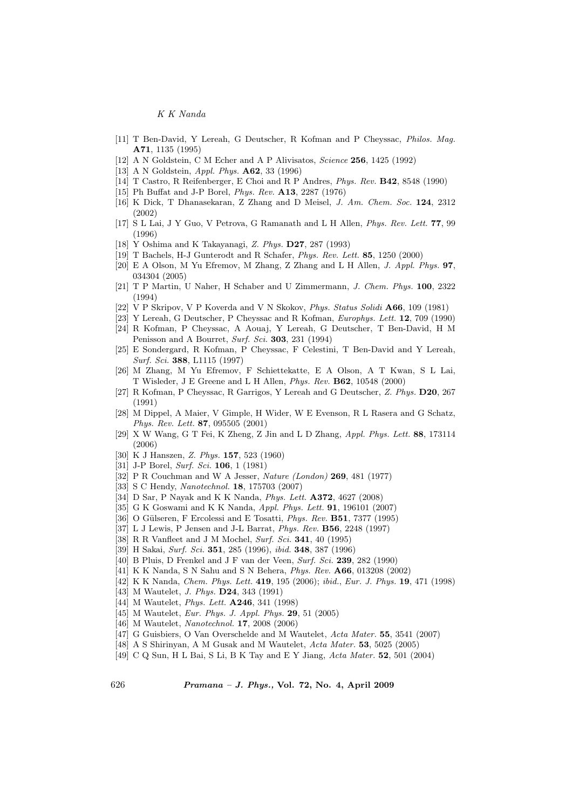- [11] T Ben-David, Y Lereah, G Deutscher, R Kofman and P Cheyssac, Philos. Mag. A71, 1135 (1995)
- [12] A N Goldstein, C M Echer and A P Alivisatos, *Science* **256**, 1425 (1992)
- [13] A N Goldstein, *Appl. Phys.* **A62**, 33 (1996)
- [14] T Castro, R Reifenberger, E Choi and R P Andres, Phys. Rev. B42, 8548 (1990)
- [15] Ph Buffat and J-P Borel, Phys. Rev. A13, 2287 (1976)
- [16] K Dick, T Dhanasekaran, Z Zhang and D Meisel, J. Am. Chem. Soc. 124, 2312 (2002)
- [17] S L Lai, J Y Guo, V Petrova, G Ramanath and L H Allen, Phys. Rev. Lett. 77, 99 (1996)
- [18] Y Oshima and K Takayanagi, Z. Phys. D27, 287 (1993)
- [19] T Bachels, H-J Gunterodt and R Schafer, Phys. Rev. Lett. 85, 1250 (2000)
- [20] E A Olson, M Yu Efremov, M Zhang, Z Zhang and L H Allen, J. Appl. Phys. 97, 034304 (2005)
- [21] T P Martin, U Naher, H Schaber and U Zimmermann, J. Chem. Phys. 100, 2322 (1994)
- [22] V P Skripov, V P Koverda and V N Skokov, Phys. Status Solidi A66, 109 (1981)
- [23] Y Lereah, G Deutscher, P Cheyssac and R Kofman, Europhys. Lett. 12, 709 (1990)
- [24] R Kofman, P Cheyssac, A Aouaj, Y Lereah, G Deutscher, T Ben-David, H M Penisson and A Bourret, Surf. Sci. 303, 231 (1994)
- [25] E Sondergard, R Kofman, P Cheyssac, F Celestini, T Ben-David and Y Lereah, Surf. Sci. 388, L1115 (1997)
- [26] M Zhang, M Yu Efremov, F Schiettekatte, E A Olson, A T Kwan, S L Lai, T Wisleder, J E Greene and L H Allen, Phys. Rev. B62, 10548 (2000)
- [27] R Kofman, P Cheyssac, R Garrigos, Y Lereah and G Deutscher, Z. Phys. D20, 267 (1991)
- [28] M Dippel, A Maier, V Gimple, H Wider, W E Evenson, R L Rasera and G Schatz, Phys. Rev. Lett. 87, 095505 (2001)
- [29] X W Wang, G T Fei, K Zheng, Z Jin and L D Zhang, Appl. Phys. Lett. 88, 173114 (2006)
- [30] K J Hanszen, Z. Phys. 157, 523 (1960)
- [31] J-P Borel, Surf. Sci. **106**, 1 (1981)
- [32] P R Couchman and W A Jesser, Nature (London) 269, 481 (1977)
- [33] S C Hendy, Nanotechnol. 18, 175703 (2007)
- [34] D Sar, P Nayak and K K Nanda, Phys. Lett. A372, 4627 (2008)
- [35] G K Goswami and K K Nanda, Appl. Phys. Lett. **91**, 196101 (2007)
- [36] O Gülseren, F Ercolessi and E Tosatti, Phys. Rev. B51, 7377 (1995)
- [37] L J Lewis, P Jensen and J-L Barrat, Phys. Rev. B56, 2248 (1997)
- [38] R R Vanfleet and J M Mochel, Surf. Sci. **341**, 40 (1995)
- [39] H Sakai, Surf. Sci. 351, 285 (1996), ibid. 348, 387 (1996)
- [40] B Pluis, D Frenkel and J F van der Veen, Surf. Sci. **239**, 282 (1990)
- [41] K K Nanda, S N Sahu and S N Behera, Phys. Rev. A66, 013208 (2002)
- [42] K K Nanda, Chem. Phys. Lett. 419, 195 (2006); ibid., Eur. J. Phys. 19, 471 (1998)
- [43] M Wautelet, *J. Phys.* **D24**, 343 (1991)
- [44] M Wautelet, *Phys. Lett.* **A246**, 341 (1998)
- [45] M Wautelet, *Eur. Phys. J. Appl. Phys.* **29**, 51 (2005)
- [46] M Wautelet, Nanotechnol. 17, 2008 (2006)
- [47] G Guisbiers, O Van Overschelde and M Wautelet, Acta Mater. 55, 3541 (2007)
- [48] A S Shirinyan, A M Gusak and M Wautelet, Acta Mater. 53, 5025 (2005)
- [49] C Q Sun, H L Bai, S Li, B K Tay and E Y Jiang, Acta Mater. 52, 501 (2004)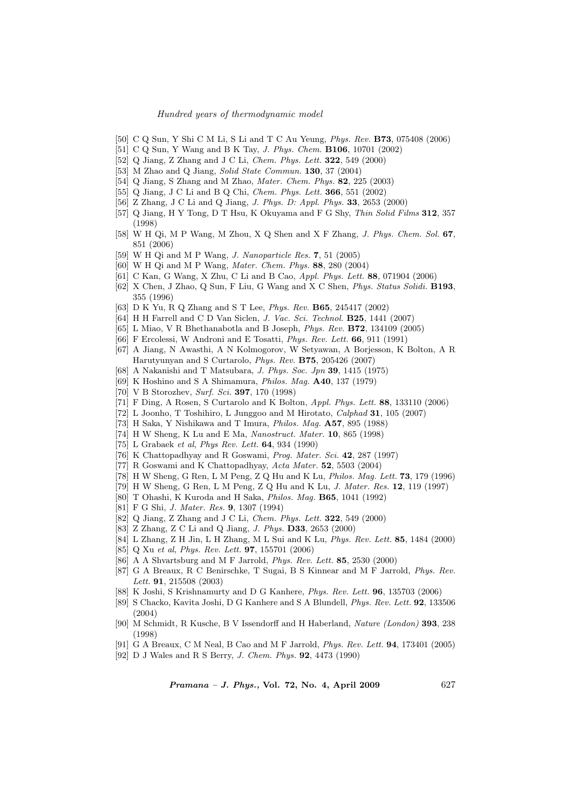- [50] C Q Sun, Y Shi C M Li, S Li and T C Au Yeung, Phys. Rev. B73, 075408 (2006)
- [51] C Q Sun, Y Wang and B K Tay, J. Phys. Chem. B106, 10701 (2002)
- [52] Q Jiang, Z Zhang and J C Li, Chem. Phys. Lett. 322, 549 (2000)
- [53] M Zhao and Q Jiang, Solid State Commun. **130**, 37 (2004)
- [54] Q Jiang, S Zhang and M Zhao, Mater. Chem. Phys. 82, 225 (2003)
- [55] Q Jiang, J C Li and B Q Chi, Chem. Phys. Lett. 366, 551 (2002)
- [56] Z Zhang, J C Li and Q Jiang, J. Phys. D: Appl. Phys. 33, 2653 (2000)
- [57] Q Jiang, H Y Tong, D T Hsu, K Okuyama and F G Shy, Thin Solid Films 312, 357 (1998)
- [58] W H Qi, M P Wang, M Zhou, X Q Shen and X F Zhang, J. Phys. Chem. Sol. 67, 851 (2006)
- [59] W H Qi and M P Wang, J. Nanoparticle Res. 7, 51 (2005)
- [60] W H Qi and M P Wang, Mater. Chem. Phys. 88, 280 (2004)
- [61] C Kan, G Wang, X Zhu, C Li and B Cao, Appl. Phys. Lett. 88, 071904 (2006)
- [62] X Chen, J Zhao, Q Sun, F Liu, G Wang and X C Shen, Phys. Status Solidi. B193, 355 (1996)
- [63] D K Yu, R Q Zhang and S T Lee, Phys. Rev. B65, 245417 (2002)
- [64] H H Farrell and C D Van Siclen, *J. Vac. Sci. Technol.* **B25**, 1441 (2007)
- [65] L Miao, V R Bhethanabotla and B Joseph, Phys. Rev. B72, 134109 (2005)
- [66] F Ercolessi, W Androni and E Tosatti, Phys. Rev. Lett. 66, 911 (1991)
- [67] A Jiang, N Awasthi, A N Kolmogorov, W Setyawan, A Borjesson, K Bolton, A R Harutyunyan and S Curtarolo, Phys. Rev. B75, 205426 (2007)
- [68] A Nakanishi and T Matsubara, J. Phys. Soc. Jpn 39, 1415 (1975)
- [69] K Hoshino and S A Shimamura, Philos. Mag. A40, 137 (1979)
- [70] V B Storozhev, Surf. Sci. 397, 170 (1998)
- [71] F Ding, A Rosen, S Curtarolo and K Bolton, Appl. Phys. Lett. 88, 133110 (2006)
- [72] L Joonho, T Toshihiro, L Junggoo and M Hirotato, Calphad 31, 105 (2007)
- [73] H Saka, Y Nishikawa and T Imura, Philos. Mag. A57, 895 (1988)
- [74] H W Sheng, K Lu and E Ma, Nanostruct. Mater. 10, 865 (1998)
- [75] L Grabaek et al, Phys Rev. Lett. 64, 934 (1990)
- [76] K Chattopadhyay and R Goswami, Prog. Mater. Sci. 42, 287 (1997)
- [77] R Goswami and K Chattopadhyay, Acta Mater. 52, 5503 (2004)
- [78] H W Sheng, G Ren, L M Peng, Z Q Hu and K Lu, Philos. Mag. Lett. 73, 179 (1996)
- [79] H W Sheng, G Ren, L M Peng, Z Q Hu and K Lu, J. Mater. Res. 12, 119 (1997)
- [80] T Ohashi, K Kuroda and H Saka, Philos. Mag. B65, 1041 (1992)
- [81] F G Shi, J. Mater. Res. 9, 1307 (1994)
- [82] Q Jiang, Z Zhang and J C Li, Chem. Phys. Lett. 322, 549 (2000)
- [83] Z Zhang, Z C Li and Q Jiang, J. Phys. D33, 2653 (2000)
- [84] L Zhang, Z H Jin, L H Zhang, M L Sui and K Lu, Phys. Rev. Lett. 85, 1484 (2000)
- [85] Q Xu et al, Phys. Rev. Lett. 97, 155701 (2006)
- [86] A A Shvartsburg and M F Jarrold, Phys. Rev. Lett. 85, 2530 (2000)
- [87] G A Breaux, R C Benirschke, T Sugai, B S Kinnear and M F Jarrold, Phys. Rev. Lett. **91**, 215508 (2003)
- [88] K Joshi, S Krishnamurty and D G Kanhere, Phys. Rev. Lett. 96, 135703 (2006)
- [89] S Chacko, Kavita Joshi, D G Kanhere and S A Blundell, Phys. Rev. Lett. 92, 133506 (2004)
- [90] M Schmidt, R Kusche, B V Issendorff and H Haberland, Nature (London) 393, 238 (1998)
- [91] G A Breaux, C M Neal, B Cao and M F Jarrold, Phys. Rev. Lett. 94, 173401 (2005)
- [92] D J Wales and R S Berry, J. Chem. Phys. 92, 4473 (1990)